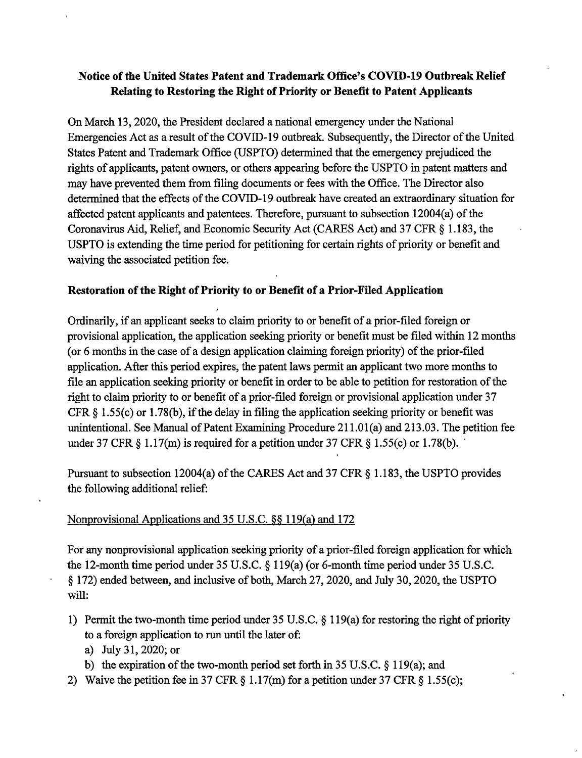# **Notice of the United States Patent and Trademark Office's COVID-19 Outbreak Relief Relating to Restoring the Right of Priority or Benefit to Patent Applicants**

On March 13, 2020, the President declared a national emergency under the National Emergencies Act as a result of the COVID-19 outbreak. Subsequently, the Director of the United States Patent and Trademark Office (USPTO) determined that the emergency prejudiced the rights of applicants, patent owners, or others appearing before the USPTO in patent matters and may have prevented them from filing documents or fees with the Office. The Director also determined that the effects of the COVID-19 outbreak have created an extraordinary situation for affected patent applicants and patentees. Therefore, pursuant to subsection  $12004(a)$  of the Coronavirus Aid, Relief, and Economic Security Act (CARES Act) and 37 CFR § 1.183, the USPTO is extending the time period for petitioning for certain rights of priority or benefit and waiving the associated petition fee.

## **Restoration of the Right of Priority to or Benefit of a Prior-Filed Application**

Ordinarily, if an applicant seeks to claim priority to or benefit of a prior-filed foreign or provisional application, the application seeking priority or benefit must be filed within 12 months (or  $6$  months in the case of a design application claiming foreign priority) of the prior-filed application. After this period expires, the patent laws permit an applicant two more months to file an application seeking priority or benefit in order to be able to petition for restoration of the right to claim priority to or benefit of a prior-filed foreign or provisional application under 37 CFR  $\S$  1.55(c) or 1.78(b), if the delay in filing the application seeking priority or benefit was unintentional. See Manual of Patent Examining Procedure  $211.01(a)$  and  $213.03$ . The petition fee under 37 CFR  $\S$  1.17(m) is required for a petition under 37 CFR  $\S$  1.55(c) or 1.78(b).

Pursuant to subsection 12004(a) of the CARES Act and 37 CFR  $\S$  1.183, the USPTO provides the following additional relief:

# Nonprovisional Applications and 35 U.S.C. §§ 119(a) and 172

For any nonprovisional application seeking priority of a prior-filed foreign application for which the 12-month time period under 35 U.S.C. § 119(a) (or 6-month time period under 35 U.S.C. § 172) ended between, and inclusive of both, March 27, 2020, and July 30, 2020, the USPTO will:

- 1) Permit the two-month time period under 35 U.S.C.  $\S$  119(a) for restoring the right of priority to a foreign application to run until the later of:
	- a) July 31, 2020; or
	- b) the expiration of the two-month period set forth in 35 U.S.C.  $\S 119(a)$ ; and
- 2) Waive the petition fee in 37 CFR § 1.17(m) for a petition under 37 CFR § l.55(c);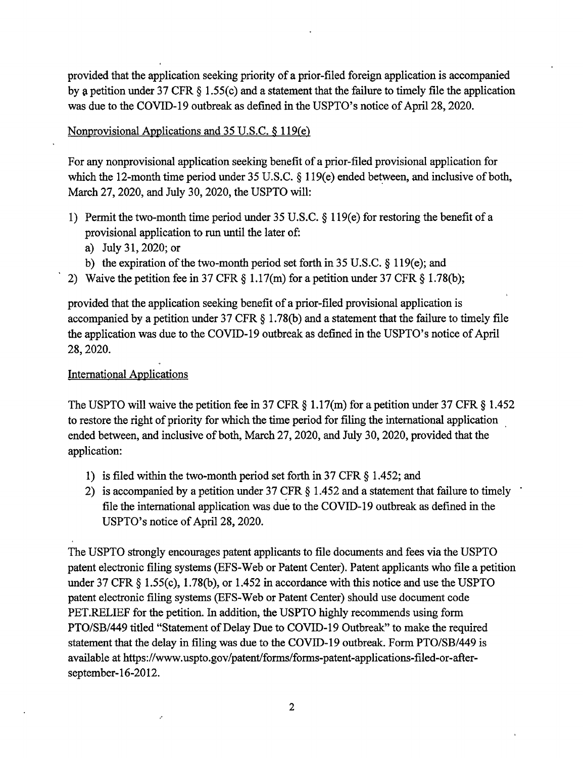provided that the application seeking priority of a prior-filed foreign application is accompanied by a petition under 37 CFR  $\S$  1.55(c) and a statement that the failure to timely file the application was due to the COVID-19 outbreak as defined in the USPTO's notice of April 28, 2020.

### Nonprovisional Applications and 35 U.S.C. § 119(e)

For any nonprovisional application seeking benefit of a prior-filed provisional application for which the 12-month time period under  $35$  U.S.C.  $\&$  119(e) ended between, and inclusive of both, March 27, 2020, and July 30, 2020, the USPTO will:

- 1) Permit the two-month time period under 35 U.S.C. § 119(e) for restoring the benefit of a provisional application to run until the later of:
	- a) July 31, 2020; or
	- b) the expiration of the two-month period set forth in 35 U.S.C.  $\S 119(e)$ ; and
- 2) Waive the petition fee in 37 CFR § 1.17(m) for a petition under 37 CFR § l.78(b);

provided that the application seeking benefit of a prior-filed provisional application is accompanied by a petition under 37 CFR § 1.78(b) and a statement that the failure to timely file the application was due to the COVID-19 outbreak as defined in the USPTO's notice of April 28, 2020.

## International Applications

The USPTO will waive the petition fee in 37 CFR § 1.17(m) for a petition under 37 CFR § 1.452 to restore the right of priority for which the time period for filing the international application ended between, and inclusive of both, March 27, 2020, and July 30, 2020, provided that the application:

- 1) is filed within the two-month period set forth in 37 CFR  $\S$  1.452; and
- 2) is accompanied by a petition under 37 CFR § 1.452 and a statement that failure to timely file the international application was due to the COVID-19 outbreak as defined in the USPTO's notice of April 28, 2020.

The USPTO strongly encourages patent applicants to file documents and fees via the USPTO patent electronic filing systems (EFS-Web or Patent Center). Patent applicants who file a petition under 37 CFR § l.55(c), l.78(b), or 1.452 in accordance with this notice and use the USPTO patent electronic filing systems (EFS-Web or Patent Center) should use document code PET.RELIEF for the petition. In addition, the USPTO highly recommends using form PTO/SB/449 titled "Statement of Delay Due to COVID-19 Outbreak" to make the required statement that the delay in filing was due to the COVID-19 outbreak. Form PTO/SB/449 is available at<https://www.uspto.gov/patent/forms/forms-patent-applications-filed-or-after>september-16-2012.